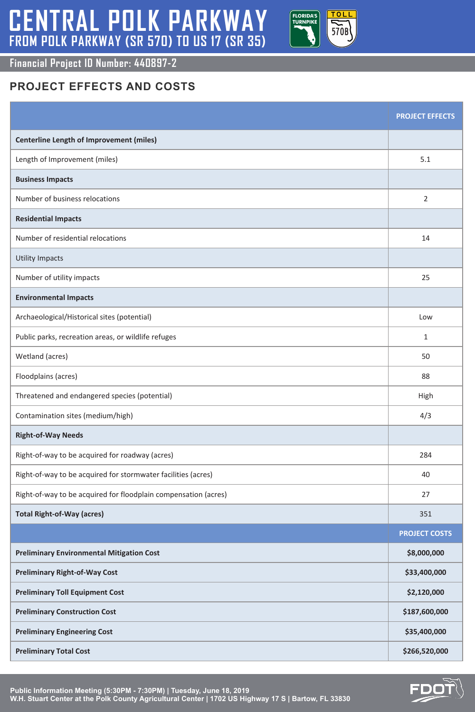# **CENTRAL POLK PARKWAY FROM POLK PARKWAY (SR 570) TO US 17 (SR 35)**

#### **Financial Project ID Number: 440897-2**



**Public Information Meeting (5:30PM - 7:30PM) | Tuesday, June 18, 2019 W.H. Stuart Center at the Polk County Agricultural Center | 1702 US Highway 17 S | Bartow, FL 33830**



|                                                                 | <b>PROJECT EFFECTS</b> |
|-----------------------------------------------------------------|------------------------|
| <b>Centerline Length of Improvement (miles)</b>                 |                        |
| Length of Improvement (miles)                                   | 5.1                    |
| <b>Business Impacts</b>                                         |                        |
| Number of business relocations                                  |                        |
| <b>Residential Impacts</b>                                      |                        |
| Number of residential relocations                               | 14                     |
| Utility Impacts                                                 |                        |
| Number of utility impacts                                       | 25                     |
| <b>Environmental Impacts</b>                                    |                        |
| Archaeological/Historical sites (potential)                     | Low                    |
| Public parks, recreation areas, or wildlife refuges             |                        |
| Wetland (acres)                                                 | 50                     |
| Floodplains (acres)                                             | 88                     |
| Threatened and endangered species (potential)                   | High                   |
| Contamination sites (medium/high)                               | 4/3                    |
| <b>Right-of-Way Needs</b>                                       |                        |
| Right-of-way to be acquired for roadway (acres)                 | 284                    |
| Right-of-way to be acquired for stormwater facilities (acres)   | 40                     |
| Right-of-way to be acquired for floodplain compensation (acres) | 27                     |
| <b>Total Right-of-Way (acres)</b>                               | 351                    |
|                                                                 | <b>PROJECT COSTS</b>   |
| <b>Preliminary Environmental Mitigation Cost</b>                | \$8,000,000            |
| <b>Preliminary Right-of-Way Cost</b>                            | \$33,400,000           |
| <b>Preliminary Toll Equipment Cost</b>                          | \$2,120,000            |
| <b>Preliminary Construction Cost</b>                            | \$187,600,000          |
| <b>Preliminary Engineering Cost</b>                             | \$35,400,000           |
| <b>Preliminary Total Cost</b>                                   | \$266,520,000          |

## **PROJECT EFFECTS AND COSTS**